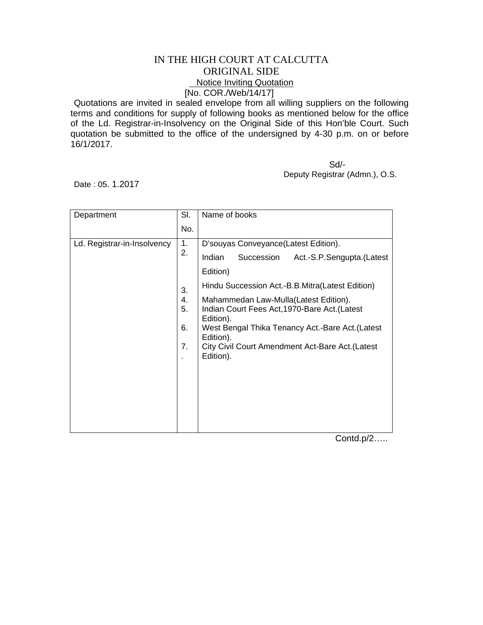## IN THE HIGH COURT AT CALCUTTA ORIGINAL SIDE Notice Inviting Quotation [No. COR./Web/14/17]

Quotations are invited in sealed envelope from all willing suppliers on the following terms and conditions for supply of following books as mentioned below for the office of the Ld. Registrar-in-Insolvency on the Original Side of this Hon'ble Court. Such quotation be submitted to the office of the undersigned by 4-30 p.m. on or before 16/1/2017.

 Sd/- Deputy Registrar (Admn.), O.S.

Date : 05. 1.2017

| Department                  | SI.                  | Name of books                                                                                                                                                                                                                         |
|-----------------------------|----------------------|---------------------------------------------------------------------------------------------------------------------------------------------------------------------------------------------------------------------------------------|
|                             | No.                  |                                                                                                                                                                                                                                       |
| Ld. Registrar-in-Insolvency | 1.<br>2.             | D'souyas Conveyance(Latest Edition).                                                                                                                                                                                                  |
|                             |                      | Indian<br>Succession<br>Act.-S.P.Sengupta.(Latest                                                                                                                                                                                     |
|                             |                      | Edition)                                                                                                                                                                                                                              |
|                             | 3.                   | Hindu Succession Act.-B.B.Mitra(Latest Edition)                                                                                                                                                                                       |
|                             | 4.<br>5.<br>6.<br>7. | Mahammedan Law-Mulla(Latest Edition).<br>Indian Court Fees Act, 1970-Bare Act. (Latest<br>Edition).<br>West Bengal Thika Tenancy Act.-Bare Act. (Latest<br>Edition).<br>City Civil Court Amendment Act-Bare Act. (Latest<br>Edition). |

Contd.p/2…..